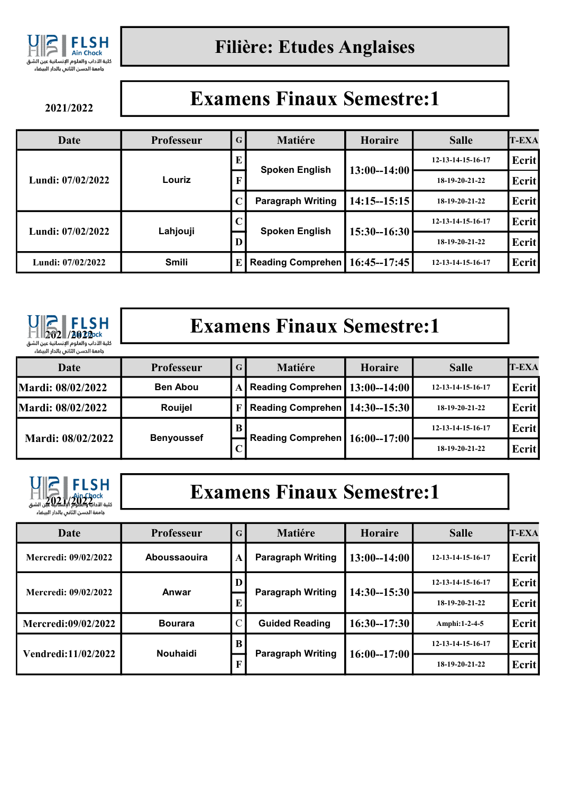

2021/2022

## Examens Finaux Semestre:1

| Date              | <b>Professeur</b> | $\mathbf G$ | <b>Matiére</b>           | <b>Horaire</b>  | <b>Salle</b>      | <b>T-EXA</b> |
|-------------------|-------------------|-------------|--------------------------|-----------------|-------------------|--------------|
| Lundi: 07/02/2022 | Louriz            | E           | <b>Spoken English</b>    | $13:00 - 14:00$ | 12-13-14-15-16-17 | Ecrit        |
|                   |                   |             |                          |                 | 18-19-20-21-22    | Ecrit        |
|                   |                   |             | <b>Paragraph Writing</b> | $14:15 - 15:15$ | $18-19-20-21-22$  | Ecrit        |
| Lundi: 07/02/2022 | Lahjouji          |             | <b>Spoken English</b>    | $15:30 - 16:30$ | 12-13-14-15-16-17 | Ecrit        |
|                   |                   |             |                          |                 | 18-19-20-21-22    | Ecrit        |
| Lundi: 07/02/2022 | <b>Smili</b>      | E           | <b>Reading Comprehen</b> | $16:45 - 17:45$ | 12-13-14-15-16-17 | Ecrit        |



# Examens Finaux Semestre:1

| Date                     | <b>Professeur</b> | G <sub>1</sub> | Matiére                            | Horaire | <b>Salle</b>      | $T$ -EXA |
|--------------------------|-------------------|----------------|------------------------------------|---------|-------------------|----------|
| <b>Mardi: 08/02/2022</b> | <b>Ben Abou</b>   |                | A Reading Comprehen   13:00--14:00 |         | 12-13-14-15-16-17 | Ecrit    |
| <b>Mardi: 08/02/2022</b> | <b>Rouijel</b>    |                | Reading Comprehen   14:30--15:30   |         | $18-19-20-21-22$  | Ecrit    |
| Mardi: 08/02/2022        |                   |                | Reading Comprehen   16:00--17:00   |         | 12-13-14-15-16-17 | Ecrit    |
|                          | <b>Benyoussef</b> |                |                                    |         | 18-19-20-21-22    | Ecrit    |



## Examens Finaux Semestre:1

| Date                        | <b>Professeur</b> | G                             | <b>Matiére</b>           | <b>Horaire</b>  | <b>Salle</b>      | <b>T-EXA</b> |
|-----------------------------|-------------------|-------------------------------|--------------------------|-----------------|-------------------|--------------|
| <b>Mercredi: 09/02/2022</b> | Aboussaouira      | $\mathbf A$                   | <b>Paragraph Writing</b> | $13:00 - 14:00$ | 12-13-14-15-16-17 | Ecrit        |
| <b>Mercredi: 09/02/2022</b> | Anwar             |                               |                          | $14:30 - 15:30$ | 12-13-14-15-16-17 | Ecrit        |
|                             |                   | <b>Paragraph Writing</b><br>E |                          | 18-19-20-21-22  | Ecrit             |              |
| <b>Mercredi:09/02/2022</b>  | <b>Bourara</b>    |                               | <b>Guided Reading</b>    | $16:30 - 17:30$ | Amphi:1-2-4-5     | Ecrit        |
| Vendredi:11/02/2022         | <b>Nouhaidi</b>   | B                             |                          | $16:00 - 17:00$ | 12-13-14-15-16-17 | Ecrit        |
|                             |                   |                               | <b>Paragraph Writing</b> |                 | 18-19-20-21-22    | Ecrit        |